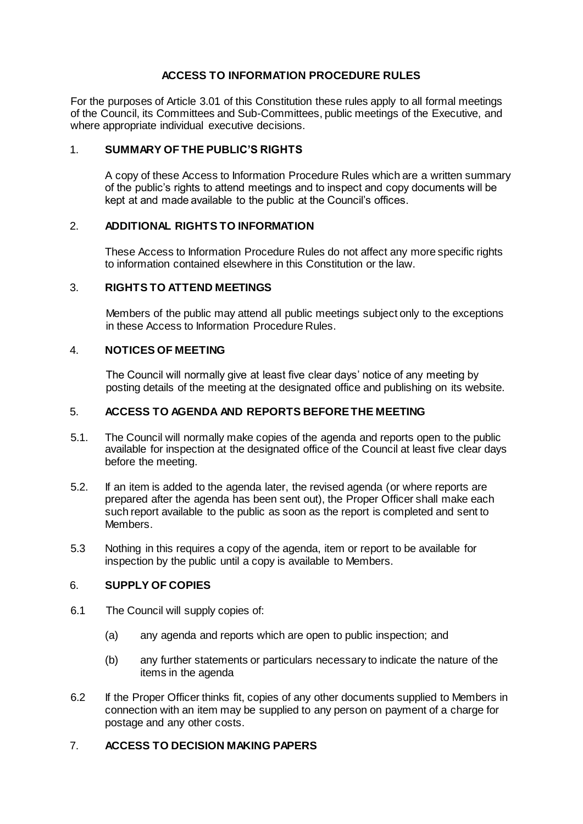# **ACCESS TO INFORMATION PROCEDURE RULES**

For the purposes of Article 3.01 of this Constitution these rules apply to all formal meetings of the Council, its Committees and Sub-Committees, public meetings of the Executive, and where appropriate individual executive decisions.

### 1. **SUMMARY OF THE PUBLIC'S RIGHTS**

A copy of these Access to Information Procedure Rules which are a written summary of the public's rights to attend meetings and to inspect and copy documents will be kept at and made available to the public at the Council's offices.

#### 2. **ADDITIONAL RIGHTS TO INFORMATION**

These Access to Information Procedure Rules do not affect any more specific rights to information contained elsewhere in this Constitution or the law.

### 3. **RIGHTS TO ATTEND MEETINGS**

Members of the public may attend all public meetings subject only to the exceptions in these Access to Information Procedure Rules.

#### 4. **NOTICES OF MEETING**

The Council will normally give at least five clear days' notice of any meeting by posting details of the meeting at the designated office and publishing on its website.

### 5. **ACCESS TO AGENDA AND REPORTS BEFORE THE MEETING**

- 5.1. The Council will normally make copies of the agenda and reports open to the public available for inspection at the designated office of the Council at least five clear days before the meeting.
- 5.2. If an item is added to the agenda later, the revised agenda (or where reports are prepared after the agenda has been sent out), the Proper Officer shall make each such report available to the public as soon as the report is completed and sent to Members.
- 5.3 Nothing in this requires a copy of the agenda, item or report to be available for inspection by the public until a copy is available to Members.

#### 6. **SUPPLY OF COPIES**

- 6.1 The Council will supply copies of:
	- (a) any agenda and reports which are open to public inspection; and
	- (b) any further statements or particulars necessary to indicate the nature of the items in the agenda
- 6.2 If the Proper Officer thinks fit, copies of any other documents supplied to Members in connection with an item may be supplied to any person on payment of a charge for postage and any other costs.

# 7. **ACCESS TO DECISION MAKING PAPERS**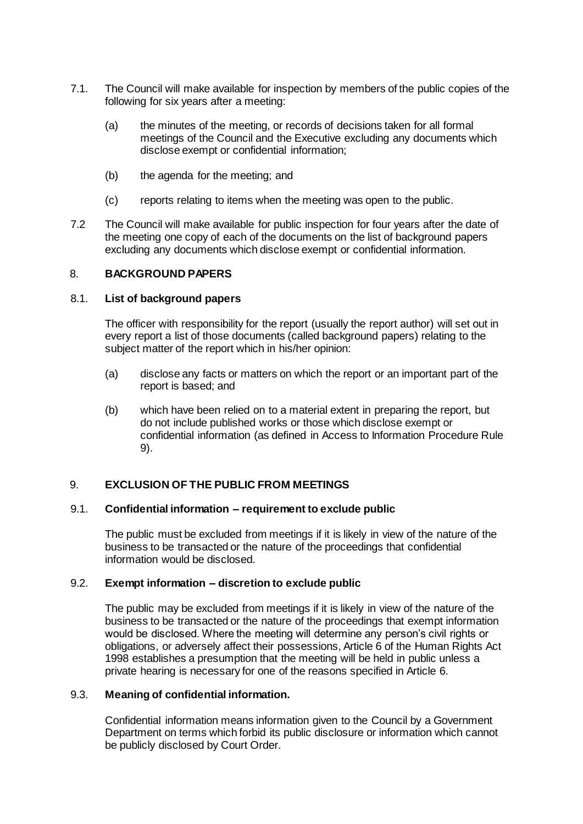- 7.1. The Council will make available for inspection by members of the public copies of the following for six years after a meeting:
	- (a) the minutes of the meeting, or records of decisions taken for all formal meetings of the Council and the Executive excluding any documents which disclose exempt or confidential information;
	- (b) the agenda for the meeting; and
	- (c) reports relating to items when the meeting was open to the public.
- 7.2 The Council will make available for public inspection for four years after the date of the meeting one copy of each of the documents on the list of background papers excluding any documents which disclose exempt or confidential information.

#### 8. **BACKGROUND PAPERS**

#### 8.1. **List of background papers**

The officer with responsibility for the report (usually the report author) will set out in every report a list of those documents (called background papers) relating to the subject matter of the report which in his/her opinion:

- (a) disclose any facts or matters on which the report or an important part of the report is based; and
- (b) which have been relied on to a material extent in preparing the report, but do not include published works or those which disclose exempt or confidential information (as defined in Access to Information Procedure Rule 9).

# 9. **EXCLUSION OF THE PUBLIC FROM MEETINGS**

#### 9.1. **Confidential information – requirement to exclude public**

The public must be excluded from meetings if it is likely in view of the nature of the business to be transacted or the nature of the proceedings that confidential information would be disclosed.

#### 9.2. **Exempt information – discretion to exclude public**

The public may be excluded from meetings if it is likely in view of the nature of the business to be transacted or the nature of the proceedings that exempt information would be disclosed. Where the meeting will determine any person's civil rights or obligations, or adversely affect their possessions, Article 6 of the Human Rights Act 1998 establishes a presumption that the meeting will be held in public unless a private hearing is necessary for one of the reasons specified in Article 6.

#### 9.3. **Meaning of confidential information.**

Confidential information means information given to the Council by a Government Department on terms which forbid its public disclosure or information which cannot be publicly disclosed by Court Order.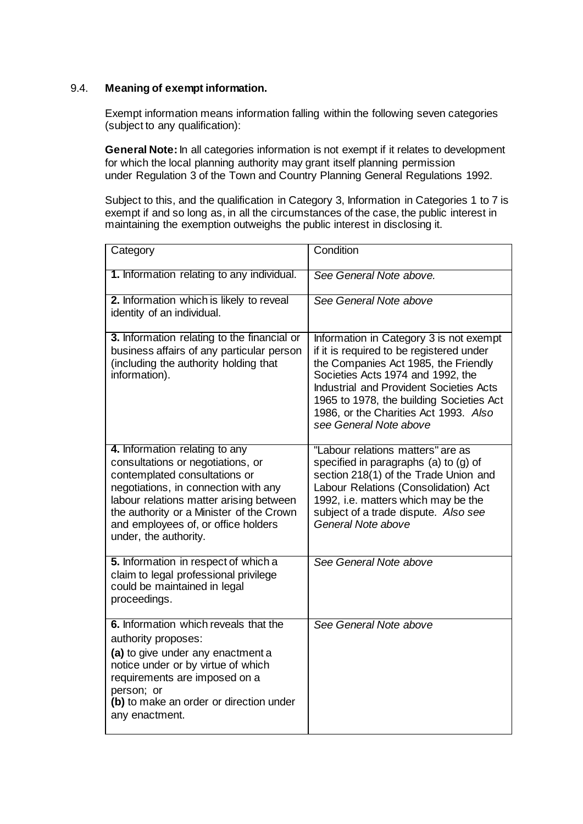# 9.4. **Meaning of exempt information.**

Exempt information means information falling within the following seven categories (subject to any qualification):

**General Note:** In all categories information is not exempt if it relates to development for which the local planning authority may grant itself planning permission under Regulation 3 of the Town and Country Planning General Regulations 1992.

Subject to this, and the qualification in Category 3, Information in Categories 1 to 7 is exempt if and so long as, in all the circumstances of the case, the public interest in maintaining the exemption outweighs the public interest in disclosing it.

| Category                                                                                                                                                                                                                                                                                            | Condition                                                                                                                                                                                                                                                                                                                         |
|-----------------------------------------------------------------------------------------------------------------------------------------------------------------------------------------------------------------------------------------------------------------------------------------------------|-----------------------------------------------------------------------------------------------------------------------------------------------------------------------------------------------------------------------------------------------------------------------------------------------------------------------------------|
| 1. Information relating to any individual.                                                                                                                                                                                                                                                          | See General Note above.                                                                                                                                                                                                                                                                                                           |
| 2. Information which is likely to reveal<br>identity of an individual.                                                                                                                                                                                                                              | See General Note above                                                                                                                                                                                                                                                                                                            |
| 3. Information relating to the financial or<br>business affairs of any particular person<br>(including the authority holding that<br>information).                                                                                                                                                  | Information in Category 3 is not exempt<br>if it is required to be registered under<br>the Companies Act 1985, the Friendly<br>Societies Acts 1974 and 1992, the<br><b>Industrial and Provident Societies Acts</b><br>1965 to 1978, the building Societies Act<br>1986, or the Charities Act 1993. Also<br>see General Note above |
| 4. Information relating to any<br>consultations or negotiations, or<br>contemplated consultations or<br>negotiations, in connection with any<br>labour relations matter arising between<br>the authority or a Minister of the Crown<br>and employees of, or office holders<br>under, the authority. | "Labour relations matters" are as<br>specified in paragraphs $(a)$ to $(g)$ of<br>section 218(1) of the Trade Union and<br>Labour Relations (Consolidation) Act<br>1992, i.e. matters which may be the<br>subject of a trade dispute. Also see<br>General Note above                                                              |
| 5. Information in respect of which a<br>claim to legal professional privilege<br>could be maintained in legal<br>proceedings.                                                                                                                                                                       | See General Note above                                                                                                                                                                                                                                                                                                            |
| 6. Information which reveals that the<br>authority proposes:<br>(a) to give under any enactment a<br>notice under or by virtue of which<br>requirements are imposed on a<br>person; or<br>(b) to make an order or direction under<br>any enactment.                                                 | See General Note above                                                                                                                                                                                                                                                                                                            |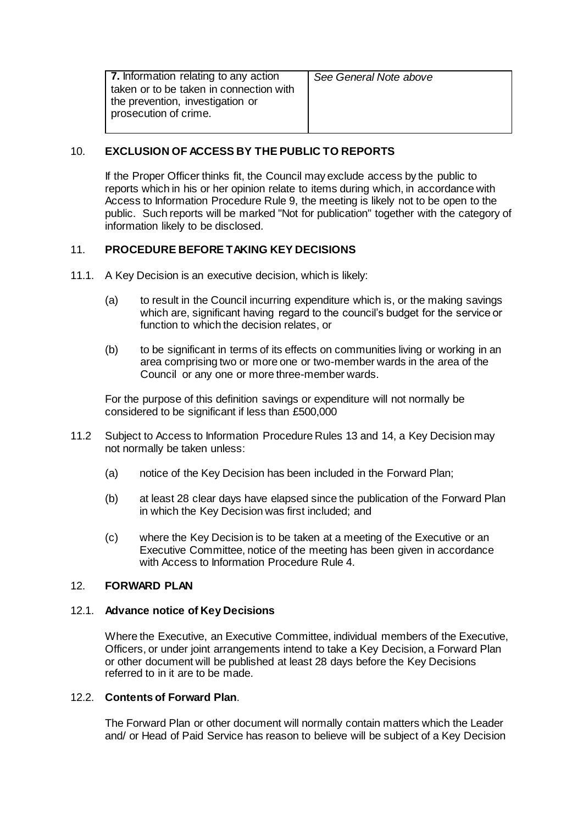| 7. Information relating to any action<br>taken or to be taken in connection with<br>the prevention, investigation or<br>prosecution of crime. | See General Note above |
|-----------------------------------------------------------------------------------------------------------------------------------------------|------------------------|
|                                                                                                                                               |                        |

# 10. **EXCLUSION OF ACCESS BY THE PUBLIC TO REPORTS**

If the Proper Officer thinks fit, the Council may exclude access by the public to reports which in his or her opinion relate to items during which, in accordance with Access to Information Procedure Rule 9, the meeting is likely not to be open to the public. Such reports will be marked "Not for publication" together with the category of information likely to be disclosed.

# 11. **PROCEDURE BEFORE TAKING KEY DECISIONS**

- 11.1. A Key Decision is an executive decision, which is likely:
	- (a) to result in the Council incurring expenditure which is, or the making savings which are, significant having regard to the council's budget for the service or function to which the decision relates, or
	- (b) to be significant in terms of its effects on communities living or working in an area comprising two or more one or two-member wards in the area of the Council or any one or more three-member wards.

For the purpose of this definition savings or expenditure will not normally be considered to be significant if less than £500,000

- 11.2 Subject to Access to Information Procedure Rules 13 and 14, a Key Decision may not normally be taken unless:
	- (a) notice of the Key Decision has been included in the Forward Plan;
	- (b) at least 28 clear days have elapsed since the publication of the Forward Plan in which the Key Decision was first included; and
	- (c) where the Key Decision is to be taken at a meeting of the Executive or an Executive Committee, notice of the meeting has been given in accordance with Access to Information Procedure Rule 4.

# 12. **FORWARD PLAN**

# 12.1. **Advance notice of Key Decisions**

Where the Executive, an Executive Committee, individual members of the Executive, Officers, or under joint arrangements intend to take a Key Decision, a Forward Plan or other document will be published at least 28 days before the Key Decisions referred to in it are to be made.

# 12.2. **Contents of Forward Plan**.

The Forward Plan or other document will normally contain matters which the Leader and/ or Head of Paid Service has reason to believe will be subject of a Key Decision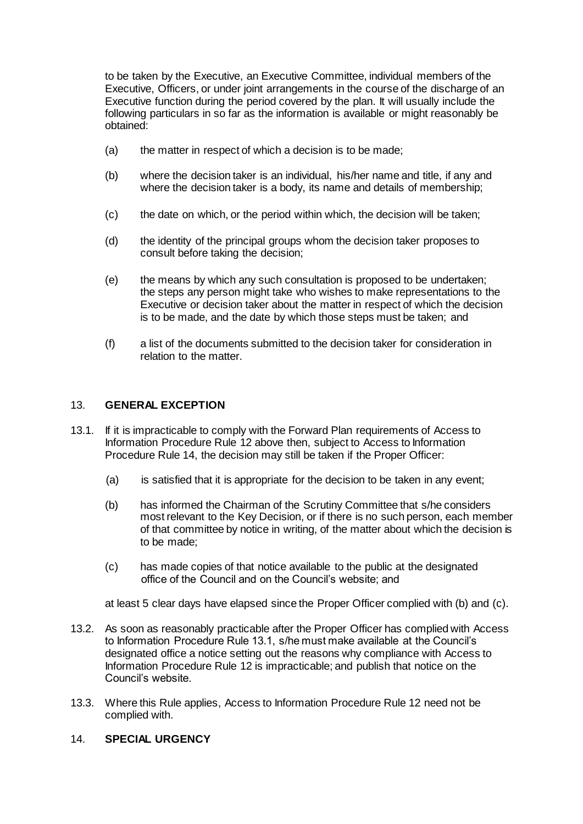to be taken by the Executive, an Executive Committee, individual members of the Executive, Officers, or under joint arrangements in the course of the discharge of an Executive function during the period covered by the plan. It will usually include the following particulars in so far as the information is available or might reasonably be obtained:

- (a) the matter in respect of which a decision is to be made;
- (b) where the decision taker is an individual, his/her name and title, if any and where the decision taker is a body, its name and details of membership;
- (c) the date on which, or the period within which, the decision will be taken;
- (d) the identity of the principal groups whom the decision taker proposes to consult before taking the decision;
- (e) the means by which any such consultation is proposed to be undertaken; the steps any person might take who wishes to make representations to the Executive or decision taker about the matter in respect of which the decision is to be made, and the date by which those steps must be taken; and
- (f) a list of the documents submitted to the decision taker for consideration in relation to the matter.

#### 13. **GENERAL EXCEPTION**

- 13.1. If it is impracticable to comply with the Forward Plan requirements of Access to Information Procedure Rule 12 above then, subject to Access to Information Procedure Rule 14, the decision may still be taken if the Proper Officer:
	- (a) is satisfied that it is appropriate for the decision to be taken in any event;
	- (b) has informed the Chairman of the Scrutiny Committee that s/he considers most relevant to the Key Decision, or if there is no such person, each member of that committee by notice in writing, of the matter about which the decision is to be made;
	- (c) has made copies of that notice available to the public at the designated office of the Council and on the Council's website; and

at least 5 clear days have elapsed since the Proper Officer complied with (b) and (c).

- 13.2. As soon as reasonably practicable after the Proper Officer has complied with Access to Information Procedure Rule 13.1, s/he must make available at the Council's designated office a notice setting out the reasons why compliance with Access to Information Procedure Rule 12 is impracticable; and publish that notice on the Council's website.
- 13.3. Where this Rule applies, Access to Information Procedure Rule 12 need not be complied with.
- 14. **SPECIAL URGENCY**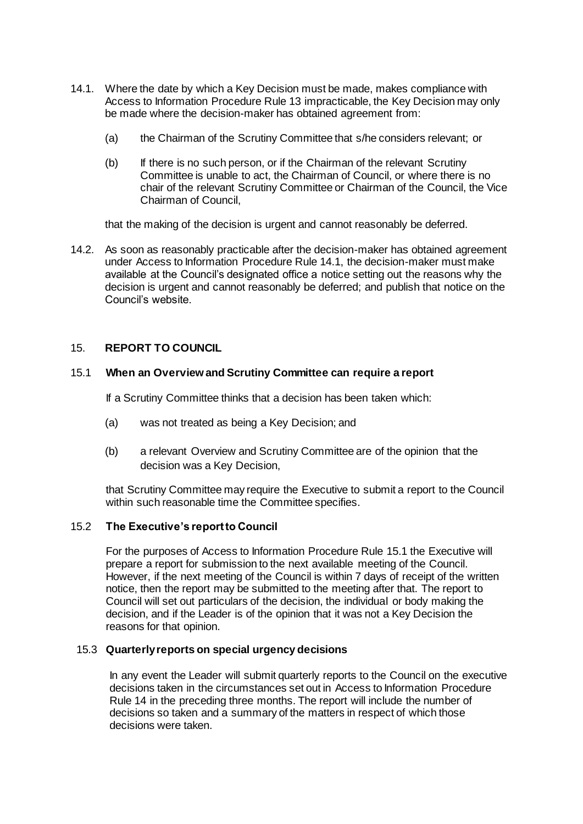- 14.1. Where the date by which a Key Decision must be made, makes compliance with Access to Information Procedure Rule 13 impracticable, the Key Decision may only be made where the decision-maker has obtained agreement from:
	- (a) the Chairman of the Scrutiny Committee that s/he considers relevant; or
	- (b) If there is no such person, or if the Chairman of the relevant Scrutiny Committee is unable to act, the Chairman of Council, or where there is no chair of the relevant Scrutiny Committee or Chairman of the Council, the Vice Chairman of Council,

that the making of the decision is urgent and cannot reasonably be deferred.

14.2. As soon as reasonably practicable after the decision-maker has obtained agreement under Access to Information Procedure Rule 14.1, the decision-maker must make available at the Council's designated office a notice setting out the reasons why the decision is urgent and cannot reasonably be deferred; and publish that notice on the Council's website.

# 15. **REPORT TO COUNCIL**

### 15.1 **When an Overview and Scrutiny Committee can require a report**

If a Scrutiny Committee thinks that a decision has been taken which:

- (a) was not treated as being a Key Decision; and
- (b) a relevant Overview and Scrutiny Committee are of the opinion that the decision was a Key Decision,

that Scrutiny Committee may require the Executive to submit a report to the Council within such reasonable time the Committee specifies.

#### 15.2 **The Executive's report to Council**

For the purposes of Access to Information Procedure Rule 15.1 the Executive will prepare a report for submission to the next available meeting of the Council. However, if the next meeting of the Council is within 7 days of receipt of the written notice, then the report may be submitted to the meeting after that. The report to Council will set out particulars of the decision, the individual or body making the decision, and if the Leader is of the opinion that it was not a Key Decision the reasons for that opinion.

#### 15.3 **Quarterly reports on special urgency decisions**

In any event the Leader will submit quarterly reports to the Council on the executive decisions taken in the circumstances set out in Access to Information Procedure Rule 14 in the preceding three months. The report will include the number of decisions so taken and a summary of the matters in respect of which those decisions were taken.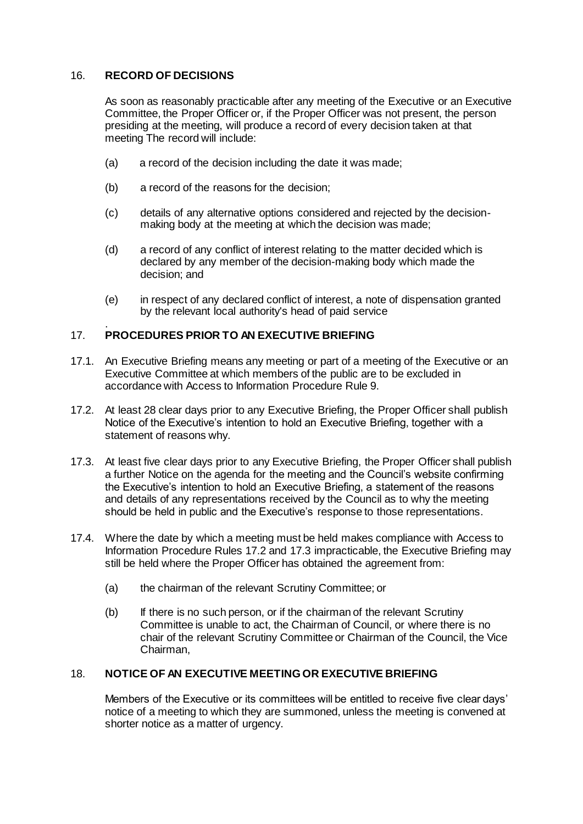# 16. **RECORD OF DECISIONS**

As soon as reasonably practicable after any meeting of the Executive or an Executive Committee, the Proper Officer or, if the Proper Officer was not present, the person presiding at the meeting, will produce a record of every decision taken at that meeting The record will include:

- (a) a record of the decision including the date it was made;
- (b) a record of the reasons for the decision;
- (c) details of any alternative options considered and rejected by the decisionmaking body at the meeting at which the decision was made;
- (d) a record of any conflict of interest relating to the matter decided which is declared by any member of the decision-making body which made the decision; and
- (e) in respect of any declared conflict of interest, a note of dispensation granted by the relevant local authority's head of paid service

#### . 17. **PROCEDURES PRIOR TO AN EXECUTIVE BRIEFING**

- 17.1. An Executive Briefing means any meeting or part of a meeting of the Executive or an Executive Committee at which members of the public are to be excluded in accordance with Access to Information Procedure Rule 9.
- 17.2. At least 28 clear days prior to any Executive Briefing, the Proper Officer shall publish Notice of the Executive's intention to hold an Executive Briefing, together with a statement of reasons why.
- 17.3. At least five clear days prior to any Executive Briefing, the Proper Officer shall publish a further Notice on the agenda for the meeting and the Council's website confirming the Executive's intention to hold an Executive Briefing, a statement of the reasons and details of any representations received by the Council as to why the meeting should be held in public and the Executive's response to those representations.
- 17.4. Where the date by which a meeting must be held makes compliance with Access to Information Procedure Rules 17.2 and 17.3 impracticable, the Executive Briefing may still be held where the Proper Officer has obtained the agreement from:
	- (a) the chairman of the relevant Scrutiny Committee; or
	- (b) If there is no such person, or if the chairman of the relevant Scrutiny Committee is unable to act, the Chairman of Council, or where there is no chair of the relevant Scrutiny Committee or Chairman of the Council, the Vice Chairman,

# 18. **NOTICE OF AN EXECUTIVE MEETING OR EXECUTIVE BRIEFING**

Members of the Executive or its committees will be entitled to receive five clear days' notice of a meeting to which they are summoned, unless the meeting is convened at shorter notice as a matter of urgency.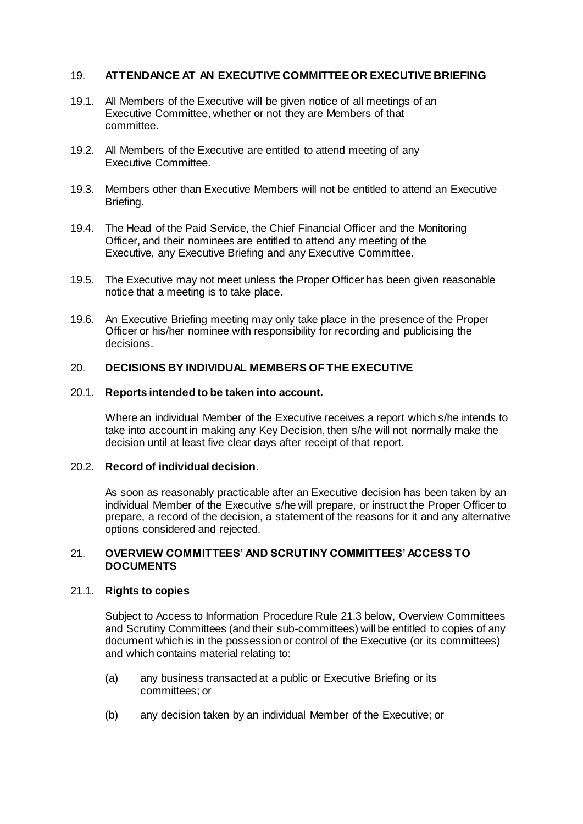# 19. **ATTENDANCE AT AN EXECUTIVE COMMITTEE OR EXECUTIVE BRIEFING**

- 19.1. All Members of the Executive will be given notice of all meetings of an Executive Committee, whether or not they are Members of that committee.
- 19.2. All Members of the Executive are entitled to attend meeting of any Executive Committee.
- 19.3. Members other than Executive Members will not be entitled to attend an Executive Briefing.
- 19.4. The Head of the Paid Service, the Chief Financial Officer and the Monitoring Officer, and their nominees are entitled to attend any meeting of the Executive, any Executive Briefing and any Executive Committee.
- 19.5. The Executive may not meet unless the Proper Officer has been given reasonable notice that a meeting is to take place.
- 19.6. An Executive Briefing meeting may only take place in the presence of the Proper Officer or his/her nominee with responsibility for recording and publicising the decisions.

#### 20. **DECISIONS BY INDIVIDUAL MEMBERS OF THE EXECUTIVE**

#### 20.1. **Reports intended to be taken into account.**

Where an individual Member of the Executive receives a report which s/he intends to take into account in making any Key Decision, then s/he will not normally make the decision until at least five clear days after receipt of that report.

# 20.2. **Record of individual decision**.

As soon as reasonably practicable after an Executive decision has been taken by an individual Member of the Executive s/he will prepare, or instruct the Proper Officer to prepare, a record of the decision, a statement of the reasons for it and any alternative options considered and rejected.

#### 21. **OVERVIEW COMMITTEES' AND SCRUTINY COMMITTEES' ACCESS TO DOCUMENTS**

# 21.1. **Rights to copies**

Subject to Access to Information Procedure Rule 21.3 below, Overview Committees and Scrutiny Committees (and their sub-committees) will be entitled to copies of any document which is in the possession or control of the Executive (or its committees) and which contains material relating to:

- (a) any business transacted at a public or Executive Briefing or its committees; or
- (b) any decision taken by an individual Member of the Executive; or